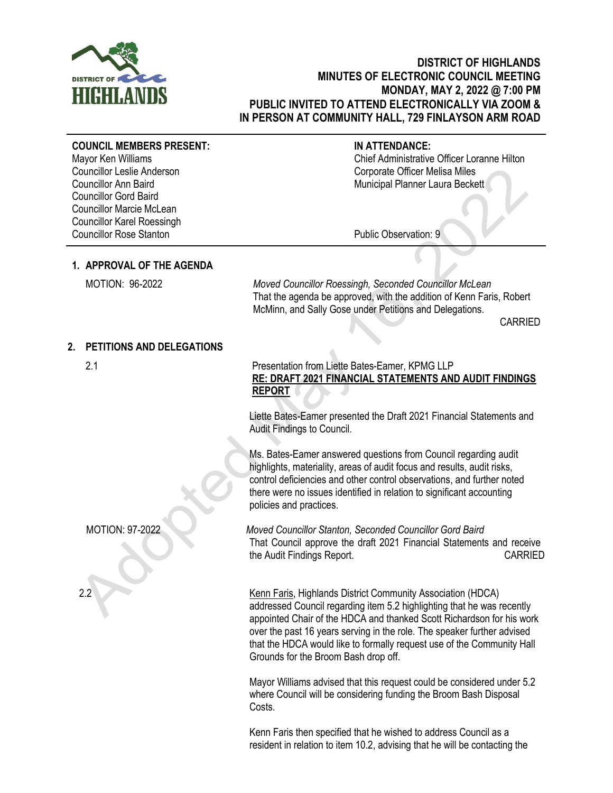

# **DISTRICT OF HIGHLANDS MINUTES OF ELECTRONIC COUNCIL MEETING MONDAY, MAY 2, 2022 @ 7:00 PM PUBLIC INVITED TO ATTEND ELECTRONICALLY VIA ZOOM & IN PERSON AT COMMUNITY HALL, 729 FINLAYSON ARM ROAD**

### **COUNCIL MEMBERS PRESENT:**

Mayor Ken Williams Councillor Leslie Anderson Councillor Ann Baird Councillor Gord Baird Councillor Marcie McLean Councillor Karel Roessingh Councillor Rose Stanton

## **IN ATTENDANCE:**

Chief Administrative Officer Loranne Hilton Corporate Officer Melisa Miles Municipal Planner Laura Beckett

Public Observation: 9

# **1. APPROVAL OF THE AGENDA**

MOTION: 96-2022 *Moved Councillor Roessingh, Seconded Councillor McLean* That the agenda be approved, with the addition of Kenn Faris, Robert McMinn, and Sally Gose under Petitions and Delegations.

CARRIED

## **2. PETITIONS AND DELEGATIONS**

## 2.1 Presentation from Liette Bates-Eamer, KPMG LLP **RE: DRAFT 2021 FINANCIAL STATEMENTS AND AUDIT FINDINGS REPORT**

Liette Bates-Eamer presented the Draft 2021 Financial Statements and Audit Findings to Council.

Ms. Bates-Eamer answered questions from Council regarding audit highlights, materiality, areas of audit focus and results, audit risks, control deficiencies and other control observations, and further noted there were no issues identified in relation to significant accounting policies and practices.

MOTION: 97-2022 *Moved Councillor Stanton, Seconded Councillor Gord Baird* That Council approve the draft 2021 Financial Statements and receive the Audit Findings Report. CARRIED

2.2 Kenn Faris, Highlands District Community Association (HDCA) addressed Council regarding item 5.2 highlighting that he was recently appointed Chair of the HDCA and thanked Scott Richardson for his work over the past 16 years serving in the role. The speaker further advised that the HDCA would like to formally request use of the Community Hall Grounds for the Broom Bash drop off.

> Mayor Williams advised that this request could be considered under 5.2 where Council will be considering funding the Broom Bash Disposal Costs.

Kenn Faris then specified that he wished to address Council as a resident in relation to item 10.2, advising that he will be contacting the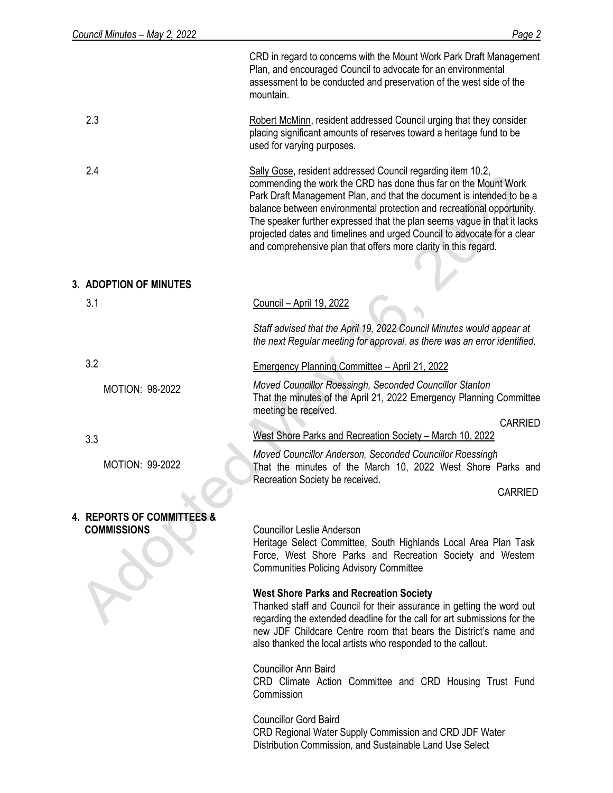|                                                  | CRD in regard to concerns with the Mount Work Park Draft Management<br>Plan, and encouraged Council to advocate for an environmental<br>assessment to be conducted and preservation of the west side of the<br>mountain.                                                                                                                                                                                                                                                                                    |
|--------------------------------------------------|-------------------------------------------------------------------------------------------------------------------------------------------------------------------------------------------------------------------------------------------------------------------------------------------------------------------------------------------------------------------------------------------------------------------------------------------------------------------------------------------------------------|
| 2.3                                              | Robert McMinn, resident addressed Council urging that they consider<br>placing significant amounts of reserves toward a heritage fund to be<br>used for varying purposes.                                                                                                                                                                                                                                                                                                                                   |
| 2.4                                              | Sally Gose, resident addressed Council regarding item 10.2,<br>commending the work the CRD has done thus far on the Mount Work<br>Park Draft Management Plan, and that the document is intended to be a<br>balance between environmental protection and recreational opportunity.<br>The speaker further expressed that the plan seems vague in that it lacks<br>projected dates and timelines and urged Council to advocate for a clear<br>and comprehensive plan that offers more clarity in this regard. |
| <b>3. ADOPTION OF MINUTES</b>                    |                                                                                                                                                                                                                                                                                                                                                                                                                                                                                                             |
| 3.1                                              | Council - April 19, 2022                                                                                                                                                                                                                                                                                                                                                                                                                                                                                    |
|                                                  | Staff advised that the April 19, 2022 Council Minutes would appear at<br>the next Regular meeting for approval, as there was an error identified.                                                                                                                                                                                                                                                                                                                                                           |
| 3.2                                              | <b>Emergency Planning Committee - April 21, 2022</b>                                                                                                                                                                                                                                                                                                                                                                                                                                                        |
| MOTION: 98-2022                                  | Moved Councillor Roessingh, Seconded Councillor Stanton<br>That the minutes of the April 21, 2022 Emergency Planning Committee<br>meeting be received.                                                                                                                                                                                                                                                                                                                                                      |
| 3.3                                              | <b>CARRIED</b><br>West Shore Parks and Recreation Society - March 10, 2022                                                                                                                                                                                                                                                                                                                                                                                                                                  |
| <b>MOTION: 99-2022</b>                           | Moved Councillor Anderson, Seconded Councillor Roessingh<br>That the minutes of the March 10, 2022 West Shore Parks and<br>Recreation Society be received.                                                                                                                                                                                                                                                                                                                                                  |
|                                                  | <b>CARRIED</b>                                                                                                                                                                                                                                                                                                                                                                                                                                                                                              |
| 4. REPORTS OF COMMITTEES &<br><b>COMMISSIONS</b> | <b>Councillor Leslie Anderson</b><br>Heritage Select Committee, South Highlands Local Area Plan Task<br>Force, West Shore Parks and Recreation Society and Western<br><b>Communities Policing Advisory Committee</b>                                                                                                                                                                                                                                                                                        |
|                                                  | <b>West Shore Parks and Recreation Society</b><br>Thanked staff and Council for their assurance in getting the word out<br>regarding the extended deadline for the call for art submissions for the<br>new JDF Childcare Centre room that bears the District's name and<br>also thanked the local artists who responded to the callout.                                                                                                                                                                     |
|                                                  | <b>Councillor Ann Baird</b><br>CRD Climate Action Committee and CRD Housing Trust Fund<br>Commission                                                                                                                                                                                                                                                                                                                                                                                                        |
|                                                  | <b>Councillor Gord Baird</b><br>CRD Regional Water Supply Commission and CRD JDF Water<br>Distribution Commission, and Sustainable Land Use Select                                                                                                                                                                                                                                                                                                                                                          |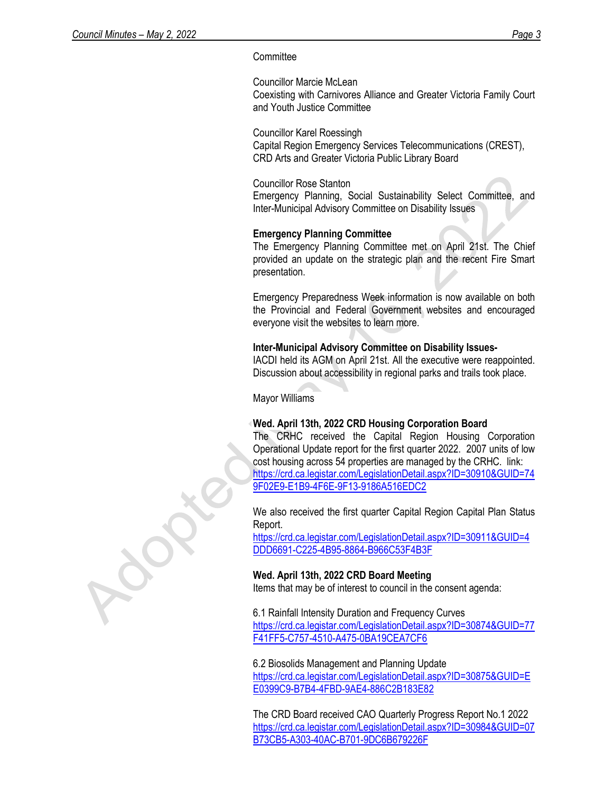### **Committee**

Councillor Marcie McLean Coexisting with Carnivores Alliance and Greater Victoria Family Court and Youth Justice Committee

Councillor Karel Roessingh Capital Region Emergency Services Telecommunications (CREST), CRD Arts and Greater Victoria Public Library Board

Councillor Rose Stanton

Emergency Planning, Social Sustainability Select Committee, and Inter-Municipal Advisory Committee on Disability Issues

## **Emergency Planning Committee**

The Emergency Planning Committee met on April 21st. The Chief provided an update on the strategic plan and the recent Fire Smart presentation.

Emergency Preparedness Week information is now available on both the Provincial and Federal Government websites and encouraged everyone visit the websites to learn more.

### **Inter-Municipal Advisory Committee on Disability Issues-**

IACDI held its AGM on April 21st. All the executive were reappointed. Discussion about accessibility in regional parks and trails took place.

Mayor Williams

### **Wed. April 13th, 2022 CRD Housing Corporation Board**

The CRHC received the Capital Region Housing Corporation Operational Update report for the first quarter 2022. 2007 units of low cost housing across 54 properties are managed by the CRHC. link: [https://crd.ca.legistar.com/LegislationDetail.aspx?ID=30910&GUID=74](https://urldefense.com/v3/__https:/crd.ca.legistar.com/LegislationDetail.aspx?ID=30910&GUID=749F02E9-E1B9-4F6E-9F13-9186A516EDC2__;!!AKbekF-RX0B9xik!IcWGO0XdbXMcf-tqTYzgyGSLpy3VcCruTM_MK9FGbRBn_HBqWHDYSee8IHP0-dRwHsVmivN2HahWjtrzHQ$) [9F02E9-E1B9-4F6E-9F13-9186A516EDC2](https://urldefense.com/v3/__https:/crd.ca.legistar.com/LegislationDetail.aspx?ID=30910&GUID=749F02E9-E1B9-4F6E-9F13-9186A516EDC2__;!!AKbekF-RX0B9xik!IcWGO0XdbXMcf-tqTYzgyGSLpy3VcCruTM_MK9FGbRBn_HBqWHDYSee8IHP0-dRwHsVmivN2HahWjtrzHQ$)

We also received the first quarter Capital Region Capital Plan Status Report.

[https://crd.ca.legistar.com/LegislationDetail.aspx?ID=30911&GUID=4](https://urldefense.com/v3/__https:/crd.ca.legistar.com/LegislationDetail.aspx?ID=30911&GUID=4DDD6691-C225-4B95-8864-B966C53F4B3F__;!!AKbekF-RX0B9xik!IcWGO0XdbXMcf-tqTYzgyGSLpy3VcCruTM_MK9FGbRBn_HBqWHDYSee8IHP0-dRwHsVmivN2HahJ3YxZ2Q$) [DDD6691-C225-4B95-8864-B966C53F4B3F](https://urldefense.com/v3/__https:/crd.ca.legistar.com/LegislationDetail.aspx?ID=30911&GUID=4DDD6691-C225-4B95-8864-B966C53F4B3F__;!!AKbekF-RX0B9xik!IcWGO0XdbXMcf-tqTYzgyGSLpy3VcCruTM_MK9FGbRBn_HBqWHDYSee8IHP0-dRwHsVmivN2HahJ3YxZ2Q$)

# **Wed. April 13th, 2022 CRD Board Meeting**

Items that may be of interest to council in the consent agenda:

6.1 Rainfall Intensity Duration and Frequency Curves [https://crd.ca.legistar.com/LegislationDetail.aspx?ID=30874&GUID=77](https://urldefense.com/v3/__https:/crd.ca.legistar.com/LegislationDetail.aspx?ID=30874&GUID=77F41FF5-C757-4510-A475-0BA19CEA7CF6__;!!AKbekF-RX0B9xik!IcWGO0XdbXMcf-tqTYzgyGSLpy3VcCruTM_MK9FGbRBn_HBqWHDYSee8IHP0-dRwHsVmivN2HaixvYSWpA$) [F41FF5-C757-4510-A475-0BA19CEA7CF6](https://urldefense.com/v3/__https:/crd.ca.legistar.com/LegislationDetail.aspx?ID=30874&GUID=77F41FF5-C757-4510-A475-0BA19CEA7CF6__;!!AKbekF-RX0B9xik!IcWGO0XdbXMcf-tqTYzgyGSLpy3VcCruTM_MK9FGbRBn_HBqWHDYSee8IHP0-dRwHsVmivN2HaixvYSWpA$)

6.2 Biosolids Management and Planning Update [https://crd.ca.legistar.com/LegislationDetail.aspx?ID=30875&GUID=E](https://urldefense.com/v3/__https:/crd.ca.legistar.com/LegislationDetail.aspx?ID=30875&GUID=EE0399C9-B7B4-4FBD-9AE4-886C2B183E82__;!!AKbekF-RX0B9xik!IcWGO0XdbXMcf-tqTYzgyGSLpy3VcCruTM_MK9FGbRBn_HBqWHDYSee8IHP0-dRwHsVmivN2Hajc9vvc_w$) [E0399C9-B7B4-4FBD-9AE4-886C2B183E82](https://urldefense.com/v3/__https:/crd.ca.legistar.com/LegislationDetail.aspx?ID=30875&GUID=EE0399C9-B7B4-4FBD-9AE4-886C2B183E82__;!!AKbekF-RX0B9xik!IcWGO0XdbXMcf-tqTYzgyGSLpy3VcCruTM_MK9FGbRBn_HBqWHDYSee8IHP0-dRwHsVmivN2Hajc9vvc_w$)

The CRD Board received CAO Quarterly Progress Report No.1 2022 [https://crd.ca.legistar.com/LegislationDetail.aspx?ID=30984&GUID=07](https://urldefense.com/v3/__https:/crd.ca.legistar.com/LegislationDetail.aspx?ID=30984&GUID=07B73CB5-A303-40AC-B701-9DC6B679226F__;!!AKbekF-RX0B9xik!IcWGO0XdbXMcf-tqTYzgyGSLpy3VcCruTM_MK9FGbRBn_HBqWHDYSee8IHP0-dRwHsVmivN2Haidluv7wg$) [B73CB5-A303-40AC-B701-9DC6B679226F](https://urldefense.com/v3/__https:/crd.ca.legistar.com/LegislationDetail.aspx?ID=30984&GUID=07B73CB5-A303-40AC-B701-9DC6B679226F__;!!AKbekF-RX0B9xik!IcWGO0XdbXMcf-tqTYzgyGSLpy3VcCruTM_MK9FGbRBn_HBqWHDYSee8IHP0-dRwHsVmivN2Haidluv7wg$)

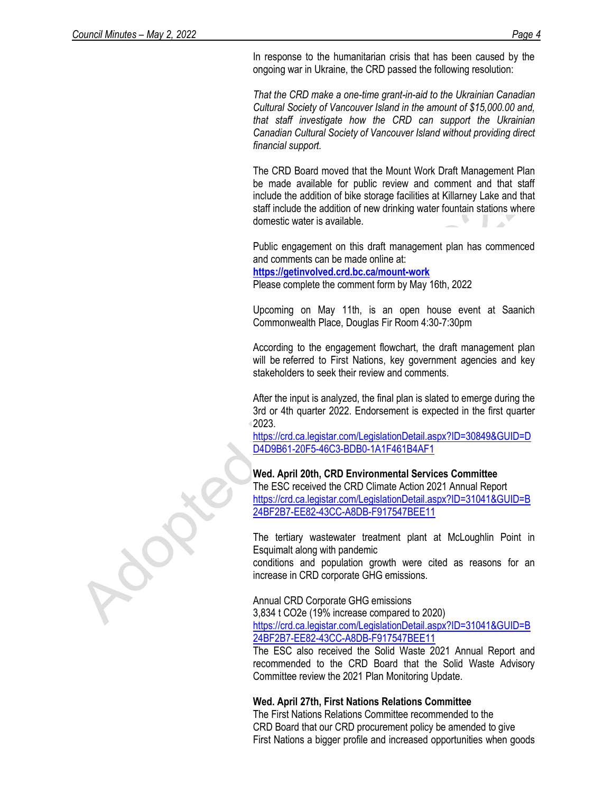In response to the humanitarian crisis that has been caused by the ongoing war in Ukraine, the CRD passed the following resolution:

*That the CRD make a one-time grant-in-aid to the Ukrainian Canadian Cultural Society of Vancouver Island in the amount of \$15,000.00 and, that staff investigate how the CRD can support the Ukrainian Canadian Cultural Society of Vancouver Island without providing direct financial support.*

The CRD Board moved that the Mount Work Draft Management Plan be made available for public review and comment and that staff include the addition of bike storage facilities at Killarney Lake and that staff include the addition of new drinking water fountain stations where domestic water is available.

Public engagement on this draft management plan has commenced and comments can be made online at:

**<https://getinvolved.crd.bc.ca/mount-work>**

Please complete the comment form by May 16th, 2022

Upcoming on May 11th, is an open house event at Saanich Commonwealth Place, Douglas Fir Room 4:30-7:30pm

According to the engagement flowchart, the draft management plan will be referred to First Nations, key government agencies and key stakeholders to seek their review and comments.

After the input is analyzed, the final plan is slated to emerge during the 3rd or 4th quarter 2022. Endorsement is expected in the first quarter 2023.

[https://crd.ca.legistar.com/LegislationDetail.aspx?ID=30849&GUID=D](https://urldefense.com/v3/__https:/crd.ca.legistar.com/LegislationDetail.aspx?ID=30849&GUID=DD4D9B61-20F5-46C3-BDB0-1A1F461B4AF1__;!!AKbekF-RX0B9xik!IcWGO0XdbXMcf-tqTYzgyGSLpy3VcCruTM_MK9FGbRBn_HBqWHDYSee8IHP0-dRwHsVmivN2HagzevyUzw$) [D4D9B61-20F5-46C3-BDB0-1A1F461B4AF1](https://urldefense.com/v3/__https:/crd.ca.legistar.com/LegislationDetail.aspx?ID=30849&GUID=DD4D9B61-20F5-46C3-BDB0-1A1F461B4AF1__;!!AKbekF-RX0B9xik!IcWGO0XdbXMcf-tqTYzgyGSLpy3VcCruTM_MK9FGbRBn_HBqWHDYSee8IHP0-dRwHsVmivN2HagzevyUzw$)

## **Wed. April 20th, CRD Environmental Services Committee**

The ESC received the CRD Climate Action 2021 Annual Report [https://crd.ca.legistar.com/LegislationDetail.aspx?ID=31041&GUID=B](https://urldefense.com/v3/__https:/crd.ca.legistar.com/LegislationDetail.aspx?ID=31041&GUID=B24BF2B7-EE82-43CC-A8DB-F917547BEE11__;!!AKbekF-RX0B9xik!IcWGO0XdbXMcf-tqTYzgyGSLpy3VcCruTM_MK9FGbRBn_HBqWHDYSee8IHP0-dRwHsVmivN2HagiHTV9Wg$) [24BF2B7-EE82-43CC-A8DB-F917547BEE11](https://urldefense.com/v3/__https:/crd.ca.legistar.com/LegislationDetail.aspx?ID=31041&GUID=B24BF2B7-EE82-43CC-A8DB-F917547BEE11__;!!AKbekF-RX0B9xik!IcWGO0XdbXMcf-tqTYzgyGSLpy3VcCruTM_MK9FGbRBn_HBqWHDYSee8IHP0-dRwHsVmivN2HagiHTV9Wg$)

The tertiary wastewater treatment plant at McLoughlin Point in Esquimalt along with pandemic

conditions and population growth were cited as reasons for an increase in CRD corporate GHG emissions.

Annual CRD Corporate GHG emissions

3,834 t CO2e (19% increase compared to 2020) [https://crd.ca.legistar.com/LegislationDetail.aspx?ID=31041&GUID=B](https://urldefense.com/v3/__https:/crd.ca.legistar.com/LegislationDetail.aspx?ID=31041&GUID=B24BF2B7-EE82-43CC-A8DB-F917547BEE11__;!!AKbekF-RX0B9xik!IcWGO0XdbXMcf-tqTYzgyGSLpy3VcCruTM_MK9FGbRBn_HBqWHDYSee8IHP0-dRwHsVmivN2HagiHTV9Wg$)

[24BF2B7-EE82-43CC-A8DB-F917547BEE11](https://urldefense.com/v3/__https:/crd.ca.legistar.com/LegislationDetail.aspx?ID=31041&GUID=B24BF2B7-EE82-43CC-A8DB-F917547BEE11__;!!AKbekF-RX0B9xik!IcWGO0XdbXMcf-tqTYzgyGSLpy3VcCruTM_MK9FGbRBn_HBqWHDYSee8IHP0-dRwHsVmivN2HagiHTV9Wg$)

The ESC also received the Solid Waste 2021 Annual Report and recommended to the CRD Board that the Solid Waste Advisory Committee review the 2021 Plan Monitoring Update.

#### **Wed. April 27th, First Nations Relations Committee**

The First Nations Relations Committee recommended to the CRD Board that our CRD procurement policy be amended to give First Nations a bigger profile and increased opportunities when goods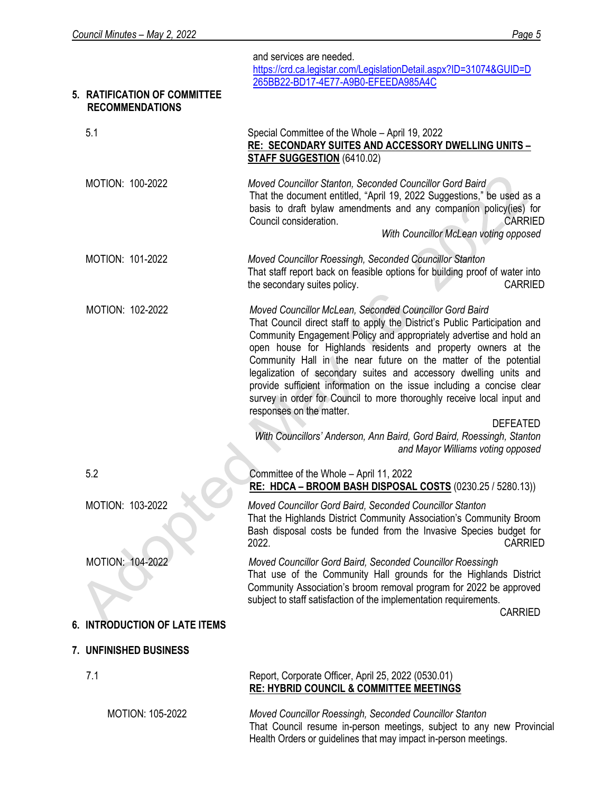|                                                        | and services are needed.<br>https://crd.ca.legistar.com/LegislationDetail.aspx?ID=31074&GUID=D<br>265BB22-BD17-4E77-A9B0-EFEEDA985A4C                                                                                                                                                                                                                                                                                                                                                                                                                                                                                    |
|--------------------------------------------------------|--------------------------------------------------------------------------------------------------------------------------------------------------------------------------------------------------------------------------------------------------------------------------------------------------------------------------------------------------------------------------------------------------------------------------------------------------------------------------------------------------------------------------------------------------------------------------------------------------------------------------|
| 5. RATIFICATION OF COMMITTEE<br><b>RECOMMENDATIONS</b> |                                                                                                                                                                                                                                                                                                                                                                                                                                                                                                                                                                                                                          |
| 5.1                                                    | Special Committee of the Whole - April 19, 2022<br>RE: SECONDARY SUITES AND ACCESSORY DWELLING UNITS -<br><b>STAFF SUGGESTION (6410.02)</b>                                                                                                                                                                                                                                                                                                                                                                                                                                                                              |
| MOTION: 100-2022                                       | Moved Councillor Stanton, Seconded Councillor Gord Baird<br>That the document entitled, "April 19, 2022 Suggestions," be used as a<br>basis to draft bylaw amendments and any companion policy(ies) for<br>Council consideration.<br><b>CARRIED</b><br>With Councillor McLean voting opposed                                                                                                                                                                                                                                                                                                                             |
| MOTION: 101-2022                                       | Moved Councillor Roessingh, Seconded Councillor Stanton<br>That staff report back on feasible options for building proof of water into<br>the secondary suites policy.<br><b>CARRIED</b>                                                                                                                                                                                                                                                                                                                                                                                                                                 |
| MOTION: 102-2022                                       | Moved Councillor McLean, Seconded Councillor Gord Baird<br>That Council direct staff to apply the District's Public Participation and<br>Community Engagement Policy and appropriately advertise and hold an<br>open house for Highlands residents and property owners at the<br>Community Hall in the near future on the matter of the potential<br>legalization of secondary suites and accessory dwelling units and<br>provide sufficient information on the issue including a concise clear<br>survey in order for Council to more thoroughly receive local input and<br>responses on the matter.<br><b>DEFEATED</b> |
|                                                        | With Councillors' Anderson, Ann Baird, Gord Baird, Roessingh, Stanton<br>and Mayor Williams voting opposed                                                                                                                                                                                                                                                                                                                                                                                                                                                                                                               |
| 5.2                                                    | Committee of the Whole - April 11, 2022<br>RE: HDCA - BROOM BASH DISPOSAL COSTS (0230.25 / 5280.13))                                                                                                                                                                                                                                                                                                                                                                                                                                                                                                                     |
| MOTION: 103-2022                                       | Moved Councillor Gord Baird, Seconded Councillor Stanton<br>That the Highlands District Community Association's Community Broom<br>Bash disposal costs be funded from the Invasive Species budget for<br>2022.<br><b>CARRIED</b>                                                                                                                                                                                                                                                                                                                                                                                         |
| MOTION: 104-2022                                       | Moved Councillor Gord Baird, Seconded Councillor Roessingh<br>That use of the Community Hall grounds for the Highlands District<br>Community Association's broom removal program for 2022 be approved<br>subject to staff satisfaction of the implementation requirements.                                                                                                                                                                                                                                                                                                                                               |
| 6. INTRODUCTION OF LATE ITEMS                          | <b>CARRIED</b>                                                                                                                                                                                                                                                                                                                                                                                                                                                                                                                                                                                                           |
| 7. UNFINISHED BUSINESS                                 |                                                                                                                                                                                                                                                                                                                                                                                                                                                                                                                                                                                                                          |
| 7.1                                                    | Report, Corporate Officer, April 25, 2022 (0530.01)<br>RE: HYBRID COUNCIL & COMMITTEE MEETINGS                                                                                                                                                                                                                                                                                                                                                                                                                                                                                                                           |
| MOTION: 105-2022                                       | Moved Councillor Roessingh, Seconded Councillor Stanton                                                                                                                                                                                                                                                                                                                                                                                                                                                                                                                                                                  |

*Moved Councillor Roessingh, Seconded Councillor Stanton* That Council resume in-person meetings, subject to any new Provincial Health Orders or guidelines that may impact in-person meetings.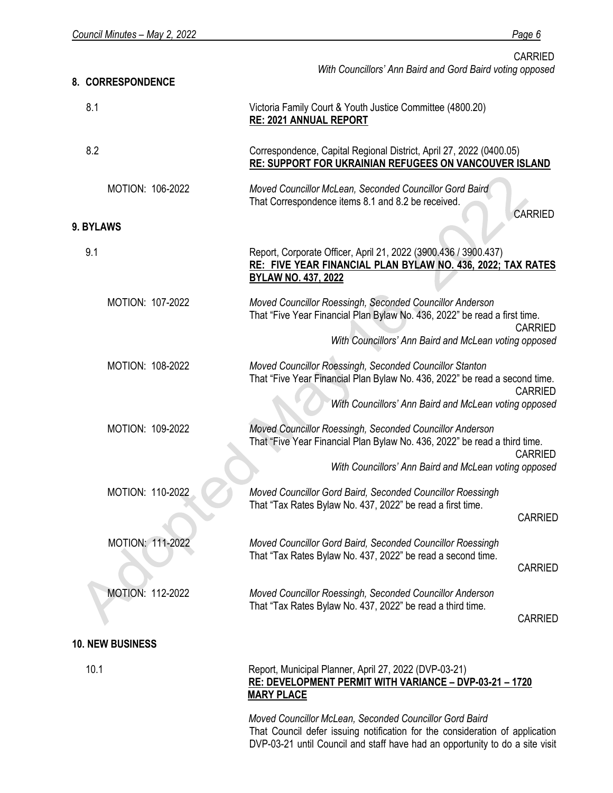CARRIED *With Councillors' Ann Baird and Gord Baird voting opposed*

# **8. CORRESPONDENCE** 8.1 Victoria Family Court & Youth Justice Committee (4800.20) **RE: 2021 ANNUAL REPORT** 8.2 MOTION: 106-2022 Correspondence, Capital Regional District, April 27, 2022 (0400.05) **RE: SUPPORT FOR UKRAINIAN REFUGEES ON VANCOUVER ISLAND** *Moved Councillor McLean, Seconded Councillor Gord Baird* That Correspondence items 8.1 and 8.2 be received. **CARRIED 9. BYLAWS** 9.1 MOTION: 107-2022 MOTION: 108-2022 MOTION: 109-2022 MOTION: 110-2022 MOTION: 111-2022 MOTION: 112-2022 **10. NEW BUSINESS** 10.1 Report, Corporate Officer, April 21, 2022 (3900.436 / 3900.437) **RE: FIVE YEAR FINANCIAL PLAN BYLAW NO. 436, 2022; TAX RATES BYLAW NO. 437, 2022** *Moved Councillor Roessingh, Seconded Councillor Anderson* That "Five Year Financial Plan Bylaw No. 436, 2022" be read a first time. CARRIED *With Councillors' Ann Baird and McLean voting opposed Moved Councillor Roessingh, Seconded Councillor Stanton* That "Five Year Financial Plan Bylaw No. 436, 2022" be read a second time. CARRIED *With Councillors' Ann Baird and McLean voting opposed Moved Councillor Roessingh, Seconded Councillor Anderson* That "Five Year Financial Plan Bylaw No. 436, 2022" be read a third time. CARRIED *With Councillors' Ann Baird and McLean voting opposed Moved Councillor Gord Baird, Seconded Councillor Roessingh* That "Tax Rates Bylaw No. 437, 2022" be read a first time. CARRIED *Moved Councillor Gord Baird, Seconded Councillor Roessingh* That "Tax Rates Bylaw No. 437, 2022" be read a second time. CARRIED *Moved Councillor Roessingh, Seconded Councillor Anderson* That "Tax Rates Bylaw No. 437, 2022" be read a third time. CARRIED Report, Municipal Planner, April 27, 2022 (DVP-03-21) **RE: DEVELOPMENT PERMIT WITH VARIANCE – DVP-03-21 – 1720 MARY PLACE**

*Moved Councillor McLean, Seconded Councillor Gord Baird* That Council defer issuing notification for the consideration of application DVP-03-21 until Council and staff have had an opportunity to do a site visit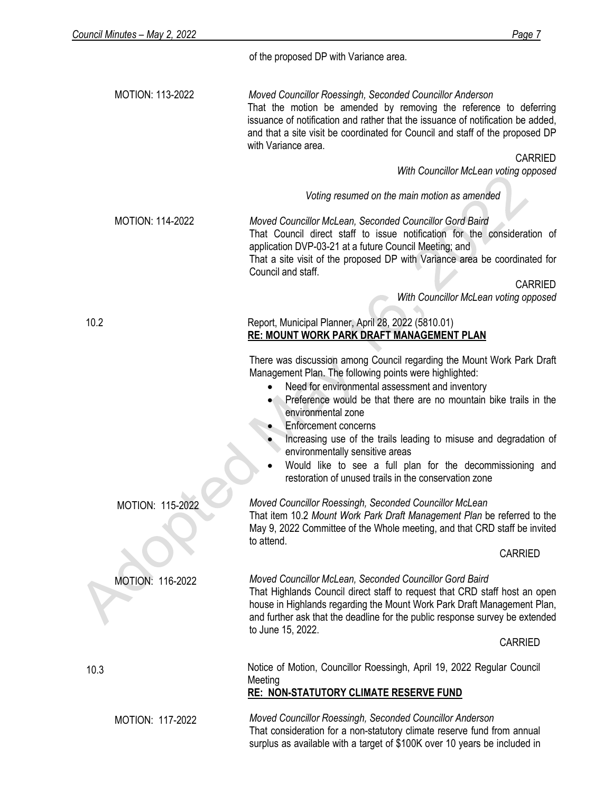of the proposed DP with Variance area.

MOTION: 113-2022 *Moved Councillor Roessingh, Seconded Councillor Anderson* That the motion be amended by removing the reference to deferring issuance of notification and rather that the issuance of notification be added, and that a site visit be coordinated for Council and staff of the proposed DP with Variance area.

CARRIED

*With Councillor McLean voting opposed*

*Voting resumed on the main motion as amended*

MOTION: 114-2022 *Moved Councillor McLean, Seconded Councillor Gord Baird* That Council direct staff to issue notification for the consideration of application DVP-03-21 at a future Council Meeting; and That a site visit of the proposed DP with Variance area be coordinated for Council and staff.

CARRIED

*With Councillor McLean voting opposed*

10.2

#### Report, Municipal Planner, April 28, 2022 (5810.01) **RE: MOUNT WORK PARK DRAFT MANAGEMENT PLAN**

There was discussion among Council regarding the Mount Work Park Draft Management Plan. The following points were highlighted:

- Need for environmental assessment and inventory
- Preference would be that there are no mountain bike trails in the environmental zone
- Enforcement concerns

Meeting

- Increasing use of the trails leading to misuse and degradation of environmentally sensitive areas
- Would like to see a full plan for the decommissioning and restoration of unused trails in the conservation zone

# *Moved Councillor Roessingh, Seconded Councillor McLean*

That item 10.2 *Mount Work Park Draft Management Plan* be referred to the May 9, 2022 Committee of the Whole meeting, and that CRD staff be invited to attend.

#### CARRIED

*Moved Councillor McLean, Seconded Councillor Gord Baird* That Highlands Council direct staff to request that CRD staff host an open

house in Highlands regarding the Mount Work Park Draft Management Plan, and further ask that the deadline for the public response survey be extended to June 15, 2022.

CARRIED

10.3

MOTION: 117-2022

MOTION: 115-2022

MOTION: 116-2022

*Moved Councillor Roessingh, Seconded Councillor Anderson* That consideration for a non-statutory climate reserve fund from annual surplus as available with a target of \$100K over 10 years be included in

Notice of Motion, Councillor Roessingh, April 19, 2022 Regular Council

**RE: NON-STATUTORY CLIMATE RESERVE FUND**